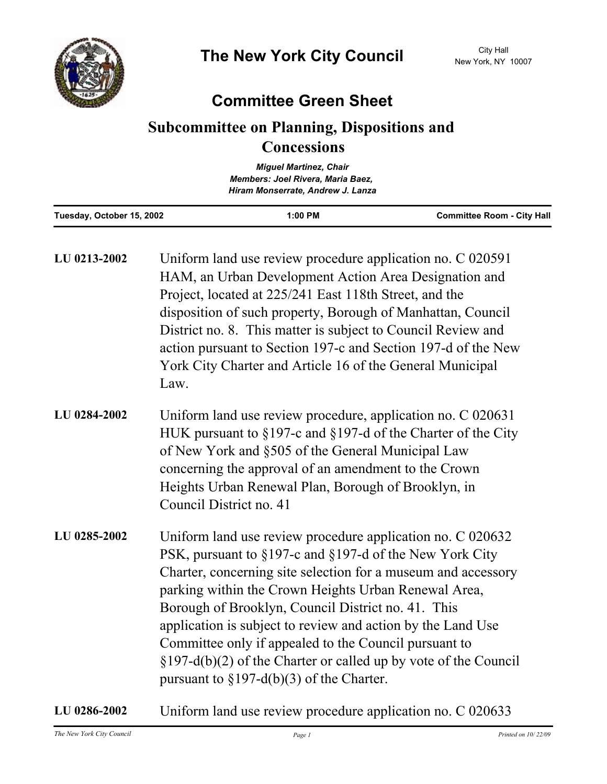

## **Committee Green Sheet**

## **Subcommittee on Planning, Dispositions and Concessions**

|                           | <b>Miquel Martinez, Chair</b>     |                                   |
|---------------------------|-----------------------------------|-----------------------------------|
|                           | Members: Joel Rivera, Maria Baez, |                                   |
|                           | Hiram Monserrate, Andrew J. Lanza |                                   |
| Tuesday, October 15, 2002 | $1:00$ PM                         | <b>Committee Room - City Hall</b> |

| LU 0213-2002 | Uniform land use review procedure application no. C 020591<br>HAM, an Urban Development Action Area Designation and<br>Project, located at 225/241 East 118th Street, and the<br>disposition of such property, Borough of Manhattan, Council<br>District no. 8. This matter is subject to Council Review and<br>action pursuant to Section 197-c and Section 197-d of the New<br>York City Charter and Article 16 of the General Municipal<br>Law.                                                                                                  |
|--------------|-----------------------------------------------------------------------------------------------------------------------------------------------------------------------------------------------------------------------------------------------------------------------------------------------------------------------------------------------------------------------------------------------------------------------------------------------------------------------------------------------------------------------------------------------------|
| LU 0284-2002 | Uniform land use review procedure, application no. C 020631<br>HUK pursuant to §197-c and §197-d of the Charter of the City<br>of New York and §505 of the General Municipal Law<br>concerning the approval of an amendment to the Crown<br>Heights Urban Renewal Plan, Borough of Brooklyn, in<br>Council District no. 41                                                                                                                                                                                                                          |
| LU 0285-2002 | Uniform land use review procedure application no. C 020632<br>PSK, pursuant to §197-c and §197-d of the New York City<br>Charter, concerning site selection for a museum and accessory<br>parking within the Crown Heights Urban Renewal Area,<br>Borough of Brooklyn, Council District no. 41. This<br>application is subject to review and action by the Land Use<br>Committee only if appealed to the Council pursuant to<br>$\S 197-d(b)(2)$ of the Charter or called up by vote of the Council<br>pursuant to $\S 197-d(b)(3)$ of the Charter. |

## **LU 0286-2002** Uniform land use review procedure application no. C 020633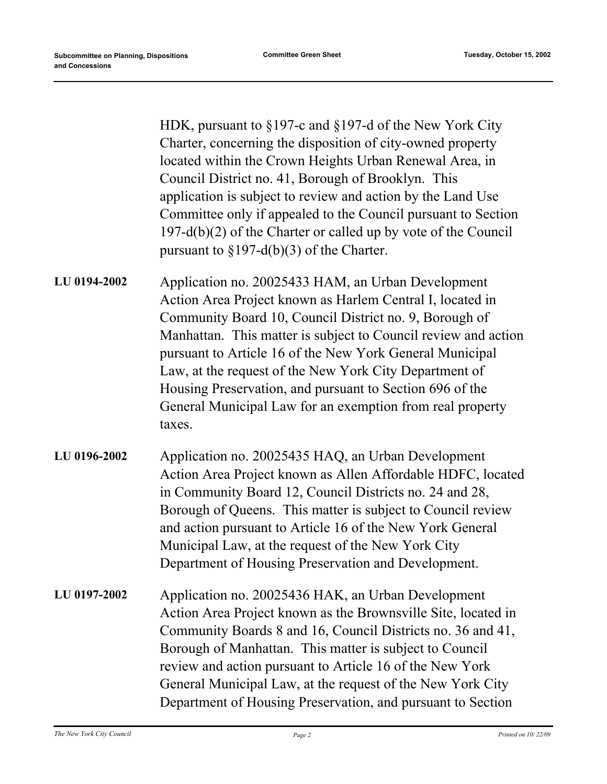HDK, pursuant to §197-c and §197-d of the New York City Charter, concerning the disposition of city-owned property located within the Crown Heights Urban Renewal Area, in Council District no. 41, Borough of Brooklyn. This application is subject to review and action by the Land Use Committee only if appealed to the Council pursuant to Section 197-d(b)(2) of the Charter or called up by vote of the Council pursuant to  $\S 197-d(b)(3)$  of the Charter.

Application no. 20025433 HAM, an Urban Development Action Area Project known as Harlem Central I, located in Community Board 10, Council District no. 9, Borough of Manhattan. This matter is subject to Council review and action pursuant to Article 16 of the New York General Municipal Law, at the request of the New York City Department of Housing Preservation, and pursuant to Section 696 of the General Municipal Law for an exemption from real property taxes. **LU 0194-2002**

- Application no. 20025435 HAQ, an Urban Development Action Area Project known as Allen Affordable HDFC, located in Community Board 12, Council Districts no. 24 and 28, Borough of Queens. This matter is subject to Council review and action pursuant to Article 16 of the New York General Municipal Law, at the request of the New York City Department of Housing Preservation and Development. **LU 0196-2002**
- Application no. 20025436 HAK, an Urban Development Action Area Project known as the Brownsville Site, located in Community Boards 8 and 16, Council Districts no. 36 and 41, Borough of Manhattan. This matter is subject to Council review and action pursuant to Article 16 of the New York General Municipal Law, at the request of the New York City Department of Housing Preservation, and pursuant to Section **LU 0197-2002**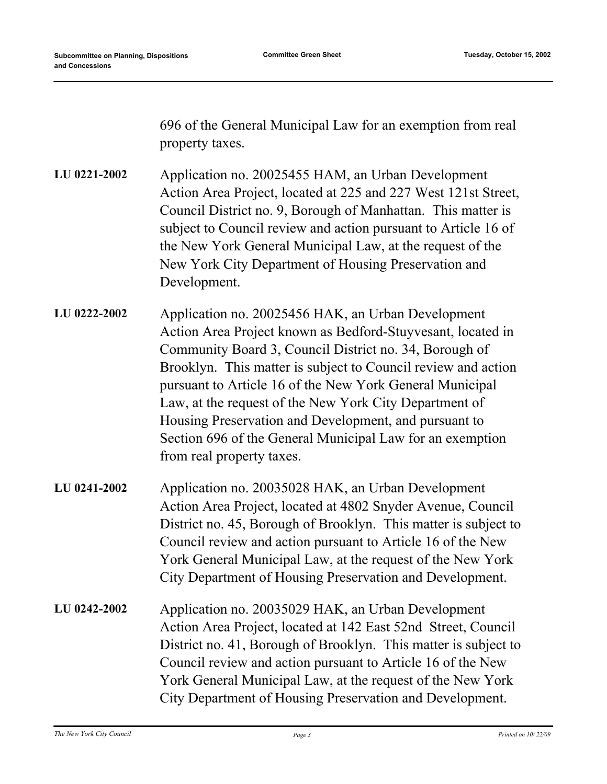696 of the General Municipal Law for an exemption from real property taxes.

Application no. 20025455 HAM, an Urban Development Action Area Project, located at 225 and 227 West 121st Street, Council District no. 9, Borough of Manhattan. This matter is subject to Council review and action pursuant to Article 16 of the New York General Municipal Law, at the request of the New York City Department of Housing Preservation and Development. **LU 0221-2002**

- Application no. 20025456 HAK, an Urban Development Action Area Project known as Bedford-Stuyvesant, located in Community Board 3, Council District no. 34, Borough of Brooklyn. This matter is subject to Council review and action pursuant to Article 16 of the New York General Municipal Law, at the request of the New York City Department of Housing Preservation and Development, and pursuant to Section 696 of the General Municipal Law for an exemption from real property taxes. **LU 0222-2002**
- Application no. 20035028 HAK, an Urban Development Action Area Project, located at 4802 Snyder Avenue, Council District no. 45, Borough of Brooklyn. This matter is subject to Council review and action pursuant to Article 16 of the New York General Municipal Law, at the request of the New York City Department of Housing Preservation and Development. **LU 0241-2002**
- Application no. 20035029 HAK, an Urban Development Action Area Project, located at 142 East 52nd Street, Council District no. 41, Borough of Brooklyn. This matter is subject to Council review and action pursuant to Article 16 of the New York General Municipal Law, at the request of the New York City Department of Housing Preservation and Development. **LU 0242-2002**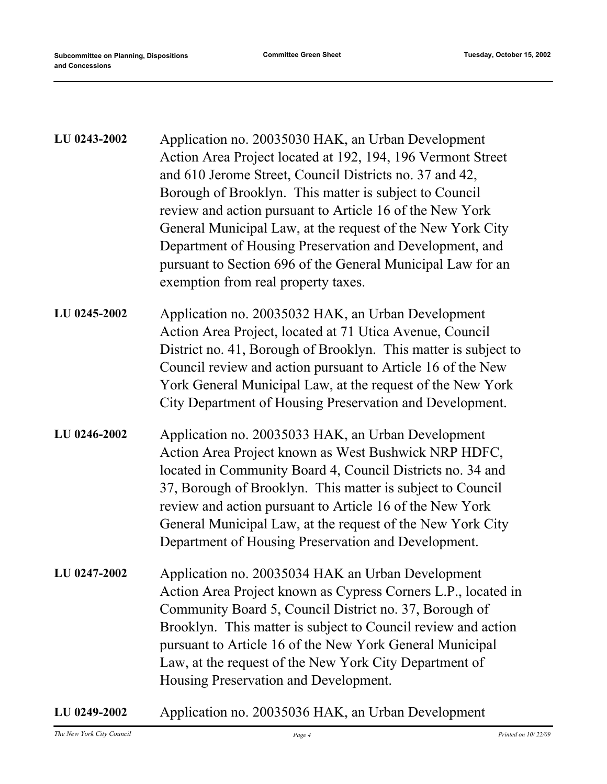| LU 0243-2002 | Application no. 20035030 HAK, an Urban Development<br>Action Area Project located at 192, 194, 196 Vermont Street<br>and 610 Jerome Street, Council Districts no. 37 and 42,<br>Borough of Brooklyn. This matter is subject to Council<br>review and action pursuant to Article 16 of the New York<br>General Municipal Law, at the request of the New York City<br>Department of Housing Preservation and Development, and<br>pursuant to Section 696 of the General Municipal Law for an<br>exemption from real property taxes. |
|--------------|-----------------------------------------------------------------------------------------------------------------------------------------------------------------------------------------------------------------------------------------------------------------------------------------------------------------------------------------------------------------------------------------------------------------------------------------------------------------------------------------------------------------------------------|
| LU 0245-2002 | Application no. 20035032 HAK, an Urban Development<br>Action Area Project, located at 71 Utica Avenue, Council<br>District no. 41, Borough of Brooklyn. This matter is subject to<br>Council review and action pursuant to Article 16 of the New<br>York General Municipal Law, at the request of the New York<br>City Department of Housing Preservation and Development.                                                                                                                                                        |
| LU 0246-2002 | Application no. 20035033 HAK, an Urban Development<br>Action Area Project known as West Bushwick NRP HDFC,<br>located in Community Board 4, Council Districts no. 34 and<br>37, Borough of Brooklyn. This matter is subject to Council<br>review and action pursuant to Article 16 of the New York<br>General Municipal Law, at the request of the New York City<br>Department of Housing Preservation and Development.                                                                                                           |
| LU 0247-2002 | Application no. 20035034 HAK an Urban Development<br>Action Area Project known as Cypress Corners L.P., located in<br>Community Board 5, Council District no. 37, Borough of<br>Brooklyn. This matter is subject to Council review and action<br>pursuant to Article 16 of the New York General Municipal<br>Law, at the request of the New York City Department of<br>Housing Preservation and Development.                                                                                                                      |

**LU 0249-2002** Application no. 20035036 HAK, an Urban Development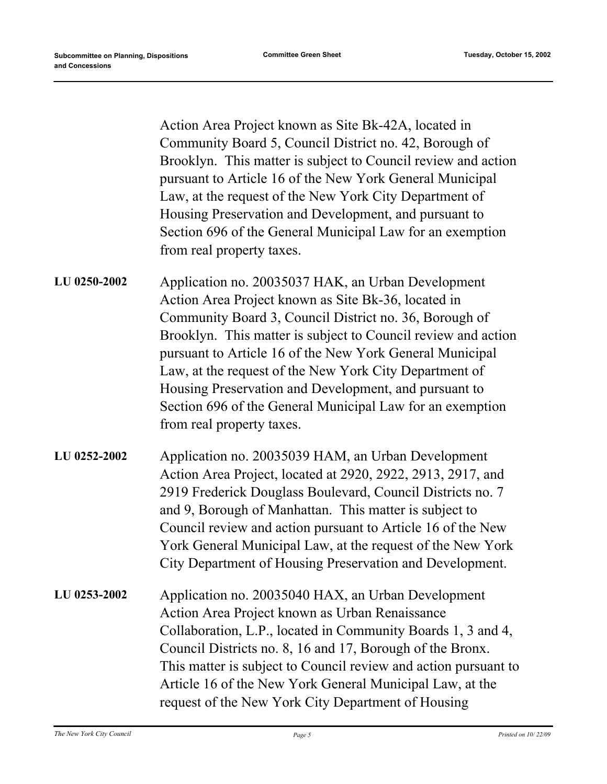Action Area Project known as Site Bk-42A, located in Community Board 5, Council District no. 42, Borough of Brooklyn. This matter is subject to Council review and action pursuant to Article 16 of the New York General Municipal Law, at the request of the New York City Department of Housing Preservation and Development, and pursuant to Section 696 of the General Municipal Law for an exemption from real property taxes.

- Application no. 20035037 HAK, an Urban Development Action Area Project known as Site Bk-36, located in Community Board 3, Council District no. 36, Borough of Brooklyn. This matter is subject to Council review and action pursuant to Article 16 of the New York General Municipal Law, at the request of the New York City Department of Housing Preservation and Development, and pursuant to Section 696 of the General Municipal Law for an exemption from real property taxes. **LU 0250-2002**
- Application no. 20035039 HAM, an Urban Development Action Area Project, located at 2920, 2922, 2913, 2917, and 2919 Frederick Douglass Boulevard, Council Districts no. 7 and 9, Borough of Manhattan. This matter is subject to Council review and action pursuant to Article 16 of the New York General Municipal Law, at the request of the New York City Department of Housing Preservation and Development. **LU 0252-2002**
- Application no. 20035040 HAX, an Urban Development Action Area Project known as Urban Renaissance Collaboration, L.P., located in Community Boards 1, 3 and 4, Council Districts no. 8, 16 and 17, Borough of the Bronx. This matter is subject to Council review and action pursuant to Article 16 of the New York General Municipal Law, at the request of the New York City Department of Housing **LU 0253-2002**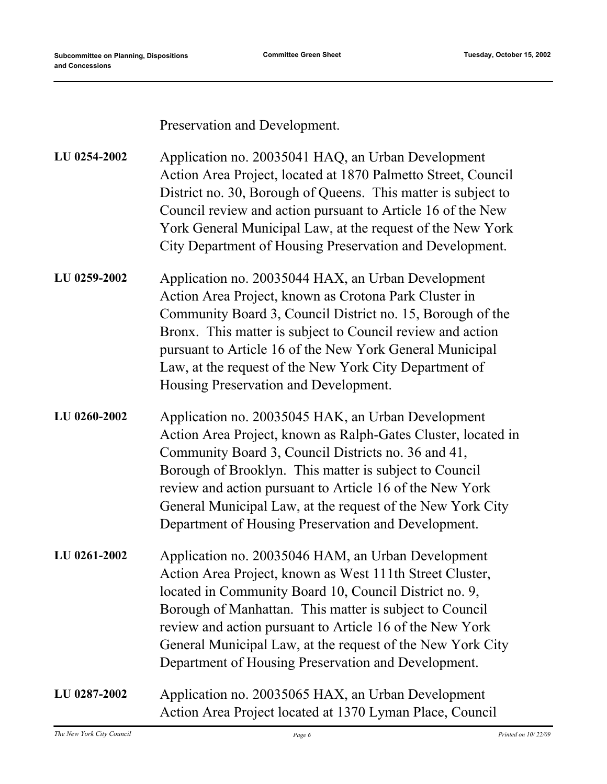Preservation and Development.

| LU 0254-2002 | Application no. 20035041 HAQ, an Urban Development            |
|--------------|---------------------------------------------------------------|
|              | Action Area Project, located at 1870 Palmetto Street, Council |
|              | District no. 30, Borough of Queens. This matter is subject to |
|              | Council review and action pursuant to Article 16 of the New   |
|              | York General Municipal Law, at the request of the New York    |
|              | City Department of Housing Preservation and Development.      |

- Application no. 20035044 HAX, an Urban Development Action Area Project, known as Crotona Park Cluster in Community Board 3, Council District no. 15, Borough of the Bronx. This matter is subject to Council review and action pursuant to Article 16 of the New York General Municipal Law, at the request of the New York City Department of Housing Preservation and Development. **LU 0259-2002**
- Application no. 20035045 HAK, an Urban Development Action Area Project, known as Ralph-Gates Cluster, located in Community Board 3, Council Districts no. 36 and 41, Borough of Brooklyn. This matter is subject to Council review and action pursuant to Article 16 of the New York General Municipal Law, at the request of the New York City Department of Housing Preservation and Development. **LU 0260-2002**
- Application no. 20035046 HAM, an Urban Development Action Area Project, known as West 111th Street Cluster, located in Community Board 10, Council District no. 9, Borough of Manhattan. This matter is subject to Council review and action pursuant to Article 16 of the New York General Municipal Law, at the request of the New York City Department of Housing Preservation and Development. **LU 0261-2002**
- Application no. 20035065 HAX, an Urban Development Action Area Project located at 1370 Lyman Place, Council **LU 0287-2002**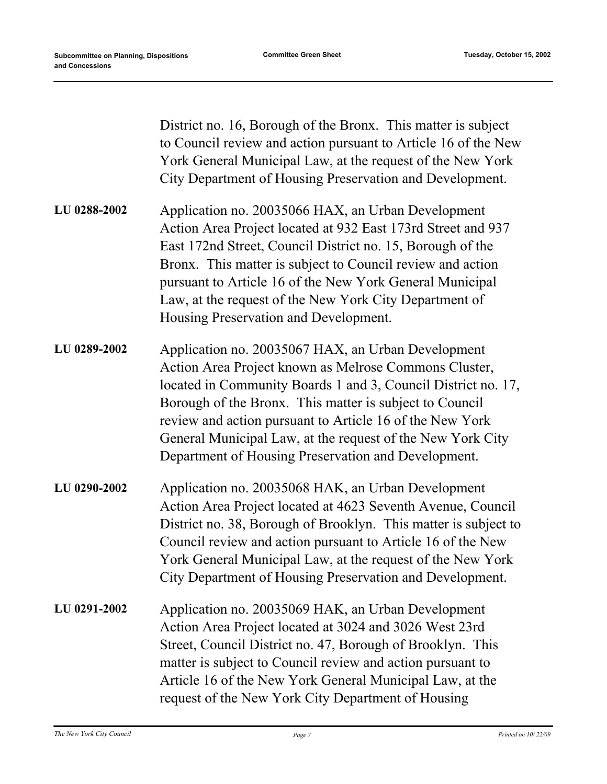|              | District no. 16, Borough of the Bronx. This matter is subject<br>to Council review and action pursuant to Article 16 of the New<br>York General Municipal Law, at the request of the New York<br>City Department of Housing Preservation and Development.                                                                                                                                                                |
|--------------|--------------------------------------------------------------------------------------------------------------------------------------------------------------------------------------------------------------------------------------------------------------------------------------------------------------------------------------------------------------------------------------------------------------------------|
| LU 0288-2002 | Application no. 20035066 HAX, an Urban Development<br>Action Area Project located at 932 East 173rd Street and 937<br>East 172nd Street, Council District no. 15, Borough of the<br>Bronx. This matter is subject to Council review and action<br>pursuant to Article 16 of the New York General Municipal<br>Law, at the request of the New York City Department of<br>Housing Preservation and Development.            |
| LU 0289-2002 | Application no. 20035067 HAX, an Urban Development<br>Action Area Project known as Melrose Commons Cluster,<br>located in Community Boards 1 and 3, Council District no. 17,<br>Borough of the Bronx. This matter is subject to Council<br>review and action pursuant to Article 16 of the New York<br>General Municipal Law, at the request of the New York City<br>Department of Housing Preservation and Development. |
| LU 0290-2002 | Application no. 20035068 HAK, an Urban Development<br>Action Area Project located at 4623 Seventh Avenue, Council<br>District no. 38, Borough of Brooklyn. This matter is subject to<br>Council review and action pursuant to Article 16 of the New<br>York General Municipal Law, at the request of the New York<br>City Department of Housing Preservation and Development.                                            |
| LU 0291-2002 | Application no. 20035069 HAK, an Urban Development<br>Action Area Project located at 3024 and 3026 West 23rd<br>Street, Council District no. 47, Borough of Brooklyn. This<br>matter is subject to Council review and action pursuant to<br>Article 16 of the New York General Municipal Law, at the<br>request of the New York City Department of Housing                                                               |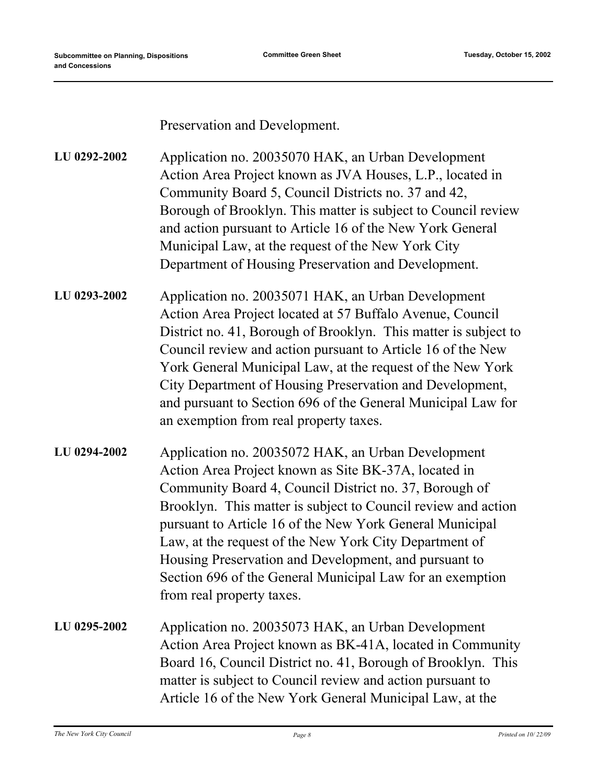Preservation and Development.

Application no. 20035070 HAK, an Urban Development Action Area Project known as JVA Houses, L.P., located in Community Board 5, Council Districts no. 37 and 42, Borough of Brooklyn. This matter is subject to Council review and action pursuant to Article 16 of the New York General Municipal Law, at the request of the New York City Department of Housing Preservation and Development. **LU 0292-2002**

- Application no. 20035071 HAK, an Urban Development Action Area Project located at 57 Buffalo Avenue, Council District no. 41, Borough of Brooklyn. This matter is subject to Council review and action pursuant to Article 16 of the New York General Municipal Law, at the request of the New York City Department of Housing Preservation and Development, and pursuant to Section 696 of the General Municipal Law for an exemption from real property taxes. **LU 0293-2002**
- Application no. 20035072 HAK, an Urban Development Action Area Project known as Site BK-37A, located in Community Board 4, Council District no. 37, Borough of Brooklyn. This matter is subject to Council review and action pursuant to Article 16 of the New York General Municipal Law, at the request of the New York City Department of Housing Preservation and Development, and pursuant to Section 696 of the General Municipal Law for an exemption from real property taxes. **LU 0294-2002**
- Application no. 20035073 HAK, an Urban Development Action Area Project known as BK-41A, located in Community Board 16, Council District no. 41, Borough of Brooklyn. This matter is subject to Council review and action pursuant to Article 16 of the New York General Municipal Law, at the **LU 0295-2002**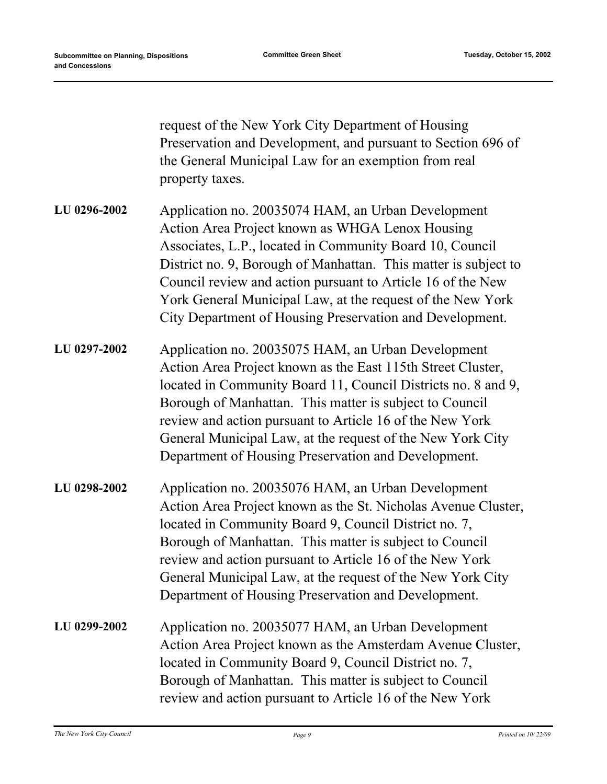|              | request of the New York City Department of Housing<br>Preservation and Development, and pursuant to Section 696 of<br>the General Municipal Law for an exemption from real<br>property taxes.                                                                                                                                                                                                                                  |
|--------------|--------------------------------------------------------------------------------------------------------------------------------------------------------------------------------------------------------------------------------------------------------------------------------------------------------------------------------------------------------------------------------------------------------------------------------|
| LU 0296-2002 | Application no. 20035074 HAM, an Urban Development<br>Action Area Project known as WHGA Lenox Housing<br>Associates, L.P., located in Community Board 10, Council<br>District no. 9, Borough of Manhattan. This matter is subject to<br>Council review and action pursuant to Article 16 of the New<br>York General Municipal Law, at the request of the New York<br>City Department of Housing Preservation and Development.  |
| LU 0297-2002 | Application no. 20035075 HAM, an Urban Development<br>Action Area Project known as the East 115th Street Cluster,<br>located in Community Board 11, Council Districts no. 8 and 9,<br>Borough of Manhattan. This matter is subject to Council<br>review and action pursuant to Article 16 of the New York<br>General Municipal Law, at the request of the New York City<br>Department of Housing Preservation and Development. |
| LU 0298-2002 | Application no. 20035076 HAM, an Urban Development<br>Action Area Project known as the St. Nicholas Avenue Cluster,<br>located in Community Board 9, Council District no. 7,<br>Borough of Manhattan. This matter is subject to Council<br>review and action pursuant to Article 16 of the New York<br>General Municipal Law, at the request of the New York City<br>Department of Housing Preservation and Development.       |
| LU 0299-2002 | Application no. 20035077 HAM, an Urban Development<br>Action Area Project known as the Amsterdam Avenue Cluster,<br>located in Community Board 9, Council District no. 7,<br>Borough of Manhattan. This matter is subject to Council<br>review and action pursuant to Article 16 of the New York                                                                                                                               |